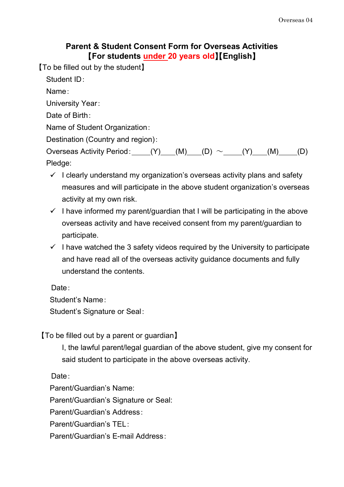## **Parent & Student Consent Form for Overseas Activities** 【**For students under 20 years old**】【**English**】

【To be filled out by the student】

Student ID:

Name:

University Year:

Date of Birth:

Name of Student Organization:

Destination (Country and region):

Overseas Activity Period:  $(N)$  (M) (D) ~ (Y) (M) (D) Pledge:

- $\checkmark$  I clearly understand my organization's overseas activity plans and safety measures and will participate in the above student organization's overseas activity at my own risk.
- $\checkmark$  I have informed my parent/guardian that I will be participating in the above overseas activity and have received consent from my parent/guardian to participate.
- $\checkmark$  I have watched the 3 safety videos required by the University to participate and have read all of the overseas activity guidance documents and fully understand the contents.

Date:

Student's Name:

Student's Signature or Seal:

【To be filled out by a parent or guardian】

I, the lawful parent/legal guardian of the above student, give my consent for said student to participate in the above overseas activity.

Date:

Parent/Guardian's Name:

Parent/Guardian's Signature or Seal:

Parent/Guardian's Address:

Parent/Guardian's TEL:

Parent/Guardian's E-mail Address: